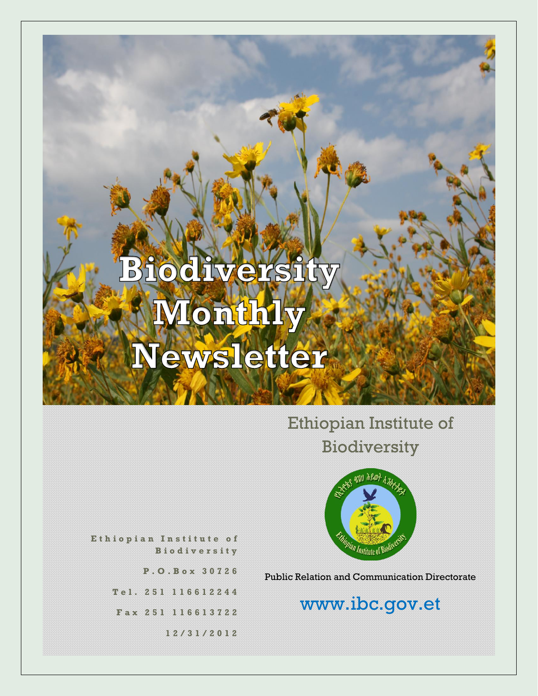## Ethiopian Institute of Biodiversity



**E t h i o p i a n I n s t i t u t e o f B i o d i v e r s i t y**

**P . O . B o x 3 0 7 2 6**

**T e l . 2 5 1 1 1 6 6 1 2 2 4 4**

**F a x 2 5 1 116613722**

**1 2 / 3 1 / 2 0 1 2**

Public Relation and Communication Directorate

## www.ibc.gov.et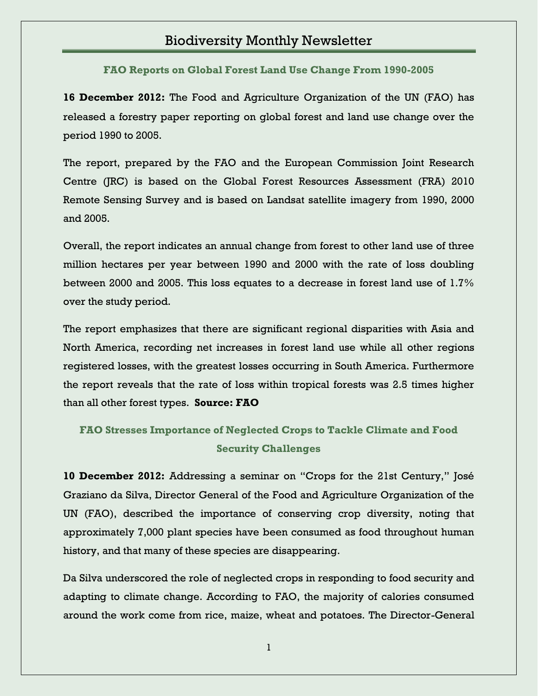**FAO Reports on Global Forest Land Use Change From 1990-2005**

**16 December 2012:** The Food and Agriculture Organization of the UN (FAO) has released a forestry paper reporting on global forest and land use change over the period 1990 to 2005.

The report, prepared by the FAO and the European Commission Joint Research Centre (JRC) is based on the Global Forest Resources Assessment (FRA) 2010 Remote Sensing Survey and is based on Landsat satellite imagery from 1990, 2000 and 2005.

Overall, the report indicates an annual change from forest to other land use of three million hectares per year between 1990 and 2000 with the rate of loss doubling between 2000 and 2005. This loss equates to a decrease in forest land use of 1.7% over the study period.

The report emphasizes that there are significant regional disparities with Asia and North America, recording net increases in forest land use while all other regions registered losses, with the greatest losses occurring in South America. Furthermore the report reveals that the rate of loss within tropical forests was 2.5 times higher than all other forest types. **Source: FAO**

#### **FAO Stresses Importance of Neglected Crops to Tackle Climate and Food Security Challenges**

**10 December 2012:** Addressing a seminar on "Crops for the 21st Century," José Graziano da Silva, Director General of the Food and Agriculture Organization of the UN (FAO), described the importance of conserving crop diversity, noting that approximately 7,000 plant species have been consumed as food throughout human history, and that many of these species are disappearing.

Da Silva underscored the role of neglected crops in responding to food security and adapting to climate change. According to FAO, the majority of calories consumed around the work come from rice, maize, wheat and potatoes. The Director-General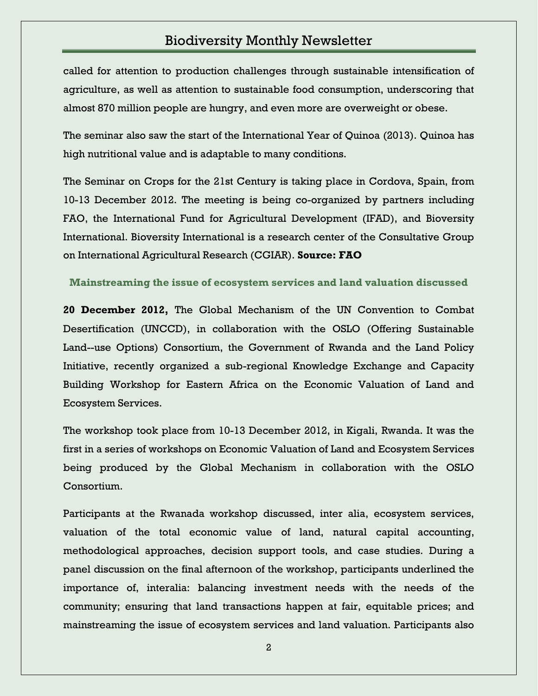called for attention to production challenges through sustainable intensification of agriculture, as well as attention to sustainable food consumption, underscoring that almost 870 million people are hungry, and even more are overweight or obese.

The seminar also saw the start of the International Year of Quinoa (2013). Quinoa has high nutritional value and is adaptable to many conditions.

The Seminar on Crops for the 21st Century is taking place in Cordova, Spain, from 10-13 December 2012. The meeting is being co-organized by partners including FAO, the International Fund for Agricultural Development (IFAD), and Bioversity International. Bioversity International is a research center of the Consultative Group on International Agricultural Research (CGIAR). **Source: FAO**

**Mainstreaming the issue of ecosystem services and land valuation discussed**

**20 December 2012,** The Global Mechanism of the UN Convention to Combat Desertification (UNCCD), in collaboration with the OSLO (Offering Sustainable Land--use Options) Consortium, the Government of Rwanda and the Land Policy Initiative, recently organized a sub-regional Knowledge Exchange and Capacity Building Workshop for Eastern Africa on the Economic Valuation of Land and Ecosystem Services.

The workshop took place from 10-13 December 2012, in Kigali, Rwanda. It was the first in a series of workshops on Economic Valuation of Land and Ecosystem Services being produced by the Global Mechanism in collaboration with the OSLO Consortium.

Participants at the Rwanada workshop discussed, inter alia, ecosystem services, valuation of the total economic value of land, natural capital accounting, methodological approaches, decision support tools, and case studies. During a panel discussion on the final afternoon of the workshop, participants underlined the importance of, interalia: balancing investment needs with the needs of the community; ensuring that land transactions happen at fair, equitable prices; and mainstreaming the issue of ecosystem services and land valuation. Participants also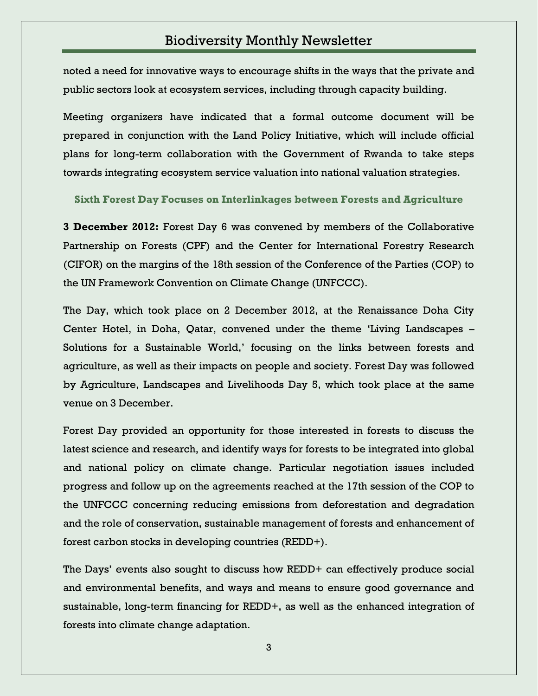noted a need for innovative ways to encourage shifts in the ways that the private and public sectors look at ecosystem services, including through capacity building.

Meeting organizers have indicated that a formal outcome document will be prepared in conjunction with the Land Policy Initiative, which will include official plans for long-term collaboration with the Government of Rwanda to take steps towards integrating ecosystem service valuation into national valuation strategies.

**Sixth Forest Day Focuses on Interlinkages between Forests and Agriculture**

**3 December 2012:** Forest Day 6 was convened by members of the Collaborative Partnership on Forests (CPF) and the Center for International Forestry Research (CIFOR) on the margins of the 18th session of the Conference of the Parties (COP) to the UN Framework Convention on Climate Change (UNFCCC).

The Day, which took place on 2 December 2012, at the Renaissance Doha City Center Hotel, in Doha, Qatar, convened under the theme "Living Landscapes – Solutions for a Sustainable World,' focusing on the links between forests and agriculture, as well as their impacts on people and society. Forest Day was followed by Agriculture, Landscapes and Livelihoods Day 5, which took place at the same venue on 3 December.

Forest Day provided an opportunity for those interested in forests to discuss the latest science and research, and identify ways for forests to be integrated into global and national policy on climate change. Particular negotiation issues included progress and follow up on the agreements reached at the 17th session of the COP to the UNFCCC concerning reducing emissions from deforestation and degradation and the role of conservation, sustainable management of forests and enhancement of forest carbon stocks in developing countries (REDD+).

The Days' events also sought to discuss how REDD+ can effectively produce social and environmental benefits, and ways and means to ensure good governance and sustainable, long-term financing for REDD+, as well as the enhanced integration of forests into climate change adaptation.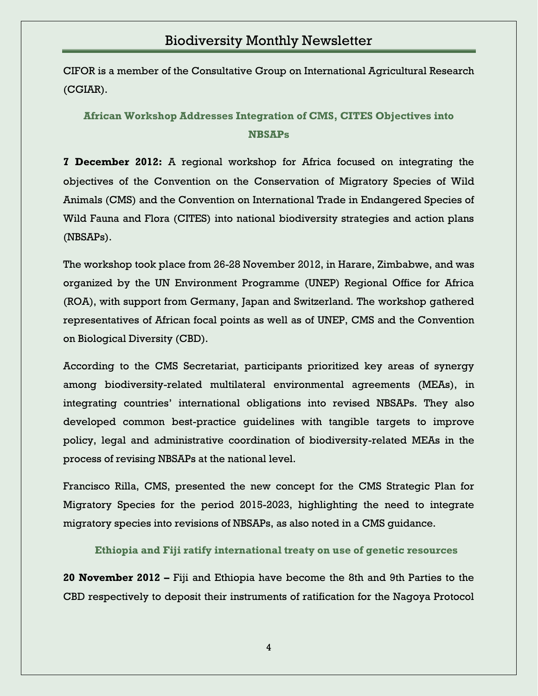CIFOR is a member of the Consultative Group on International Agricultural Research (CGIAR).

#### **African Workshop Addresses Integration of CMS, CITES Objectives into NBSAPs**

**7 December 2012:** A regional workshop for Africa focused on integrating the objectives of the Convention on the Conservation of Migratory Species of Wild Animals (CMS) and the Convention on International Trade in Endangered Species of Wild Fauna and Flora (CITES) into national biodiversity strategies and action plans (NBSAPs).

The workshop took place from 26-28 November 2012, in Harare, Zimbabwe, and was organized by the UN Environment Programme (UNEP) Regional Office for Africa (ROA), with support from Germany, Japan and Switzerland. The workshop gathered representatives of African focal points as well as of UNEP, CMS and the Convention on Biological Diversity (CBD).

According to the CMS Secretariat, participants prioritized key areas of synergy among biodiversity-related multilateral environmental agreements (MEAs), in integrating countries" international obligations into revised NBSAPs. They also developed common best-practice guidelines with tangible targets to improve policy, legal and administrative coordination of biodiversity-related MEAs in the process of revising NBSAPs at the national level.

Francisco Rilla, CMS, presented the new concept for the CMS Strategic Plan for Migratory Species for the period 2015-2023, highlighting the need to integrate migratory species into revisions of NBSAPs, as also noted in a CMS guidance.

**Ethiopia and Fiji ratify international treaty on use of genetic resources**

**20 November 2012 –** Fiji and Ethiopia have become the 8th and 9th Parties to the CBD respectively to deposit their instruments of ratification for the Nagoya Protocol

4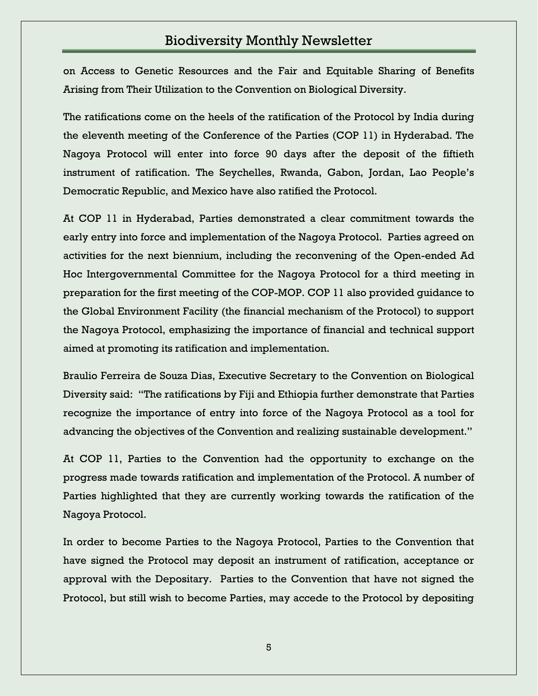on Access to Genetic Resources and the Fair and Equitable Sharing of Benefits Arising from Their Utilization to the Convention on Biological Diversity.

The ratifications come on the heels of the ratification of the Protocol by India during the eleventh meeting of the Conference of the Parties (COP 11) in Hyderabad. The Nagoya Protocol will enter into force 90 days after the deposit of the fiftieth instrument of ratification. The Seychelles, Rwanda, Gabon, Jordan, Lao People"s Democratic Republic, and Mexico have also ratified the Protocol.

At COP 11 in Hyderabad, Parties demonstrated a clear commitment towards the early entry into force and implementation of the Nagoya Protocol. Parties agreed on activities for the next biennium, including the reconvening of the Open-ended Ad Hoc Intergovernmental Committee for the Nagoya Protocol for a third meeting in preparation for the first meeting of the COP-MOP. COP 11 also provided guidance to the Global Environment Facility (the financial mechanism of the Protocol) to support the Nagoya Protocol, emphasizing the importance of financial and technical support aimed at promoting its ratification and implementation.

Braulio Ferreira de Souza Dias, Executive Secretary to the Convention on Biological Diversity said: "The ratifications by Fiji and Ethiopia further demonstrate that Parties recognize the importance of entry into force of the Nagoya Protocol as a tool for advancing the objectives of the Convention and realizing sustainable development."

At COP 11, Parties to the Convention had the opportunity to exchange on the progress made towards ratification and implementation of the Protocol. A number of Parties highlighted that they are currently working towards the ratification of the Nagoya Protocol.

In order to become Parties to the Nagoya Protocol, Parties to the Convention that have signed the Protocol may deposit an instrument of ratification, acceptance or approval with the Depositary. Parties to the Convention that have not signed the Protocol, but still wish to become Parties, may accede to the Protocol by depositing